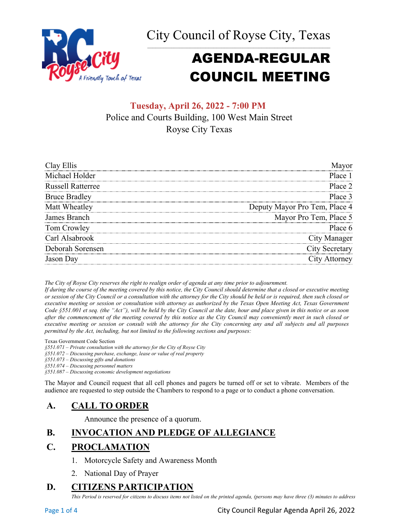



# AGENDA-REGULAR COUNCIL MEETING

## **Tuesday, April 26, 2022 - 7:00 PM** Police and Courts Building, 100 West Main Street Royse City Texas

| Clay Ellis               |                               |
|--------------------------|-------------------------------|
| Michael Holder           | Place 1                       |
| <b>Russell Ratterree</b> | Place 2                       |
| <b>Bruce Bradley</b>     | Place 3                       |
| Matt Wheatley            | Deputy Mayor Pro Tem, Place 4 |
| James Branch             | Mayor Pro Tem, Place 5        |
| Tom Crowley              | Place 6                       |
| Carl Alsabrook           | City Manager                  |
| Deborah Sorensen         | <b>City Secretary</b>         |
| Jason Dav                | City Attorney                 |

*The City of Royse City reserves the right to realign order of agenda at any time prior to adjournment.*

*If during the course of the meeting covered by this notice, the City Council should determine that a closed or executive meeting or session of the City Council or a consultation with the attorney for the City should be held or is required, then such closed or executive meeting or session or consultation with attorney as authorized by the Texas Open Meeting Act, Texas Government Code §551.001 et seq. (the "Act"), will be held by the City Council at the date, hour and place given in this notice or as soon after the commencement of the meeting covered by this notice as the City Council may conveniently meet in such closed or executive meeting or session or consult with the attorney for the City concerning any and all subjects and all purposes permitted by the Act, including, but not limited to the following sections and purposes:*

Texas Government Code Section

*§551.071 – Private consultation with the attorney for the City of Royse City* 

*§551.072 – Discussing purchase, exchange, lease or value of real property* 

*§551.073 – Discussing gifts and donations*

*§551.074 – Discussing personnel matters*

*§551.087 – Discussing economic development negotiations*

The Mayor and Council request that all cell phones and pagers be turned off or set to vibrate. Members of the audience are requested to step outside the Chambers to respond to a page or to conduct a phone conversation.

## **A. CALL TO ORDER**

Announce the presence of a quorum.

## **B. INVOCATION AND PLEDGE OF ALLEGIANCE**

## **C. PROCLAMATION**

- 1. Motorcycle Safety and Awareness Month
- 2. National Day of Prayer

## **D. CITIZENS PARTICIPATION**

*This Period is reserved for citizens to discuss items not listed on the printed agenda, (persons may have three (3) minutes to address* 

Page 1 of 4 City Council Regular Agenda April 26, 2022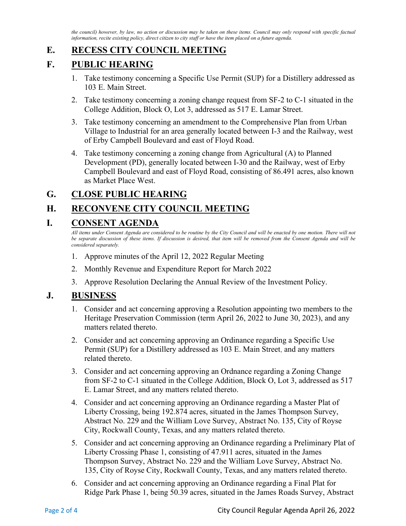*the council) however, by law, no action or discussion may be taken on these items. Council may only respond with specific factual information, recite existing policy, direct citizen to city staff or have the item placed on a future agenda.*

## **E. RECESS CITY COUNCIL MEETING**

## **F. PUBLIC HEARING**

- 1. Take testimony concerning a Specific Use Permit (SUP) for a Distillery addressed as 103 E. Main Street.
- 2. Take testimony concerning a zoning change request from SF-2 to C-1 situated in the College Addition, Block O, Lot 3, addressed as 517 E. Lamar Street.
- 3. Take testimony concerning an amendment to the Comprehensive Plan from Urban Village to Industrial for an area generally located between I-3 and the Railway, west of Erby Campbell Boulevard and east of Floyd Road.
- 4. Take testimony concerning a zoning change from Agricultural (A) to Planned Development (PD), generally located between I-30 and the Railway, west of Erby Campbell Boulevard and east of Floyd Road, consisting of 86.491 acres, also known as Market Place West.

## **G. CLOSE PUBLIC HEARING**

## **H. RECONVENE CITY COUNCIL MEETING**

## **I. CONSENT AGENDA**

*All items under Consent Agenda are considered to be routine by the City Council and will be enacted by one motion. There will not*  be separate discussion of these items. If discussion is desired, that item will be removed from the Consent Agenda and will be *considered separately.*

- 1. Approve minutes of the April 12, 2022 Regular Meeting
- 2. Monthly Revenue and Expenditure Report for March 2022
- 3. Approve Resolution Declaring the Annual Review of the Investment Policy.

## **J. BUSINESS**

- 1. Consider and act concerning approving a Resolution appointing two members to the Heritage Preservation Commission (term April 26, 2022 to June 30, 2023), and any matters related thereto.
- 2. Consider and act concerning approving an Ordinance regarding a Specific Use Permit (SUP) for a Distillery addressed as 103 E. Main Street, and any matters related thereto.
- 3. Consider and act concerning approving an Ordnance regarding a Zoning Change from SF-2 to C-1 situated in the College Addition, Block O, Lot 3, addressed as 517 E. Lamar Street, and any matters related thereto.
- 4. Consider and act concerning approving an Ordinance regarding a Master Plat of Liberty Crossing, being 192.874 acres, situated in the James Thompson Survey, Abstract No. 229 and the William Love Survey, Abstract No. 135, City of Royse City, Rockwall County, Texas, and any matters related thereto.
- 5. Consider and act concerning approving an Ordinance regarding a Preliminary Plat of Liberty Crossing Phase 1, consisting of 47.911 acres, situated in the James Thompson Survey, Abstract No. 229 and the William Love Survey, Abstract No. 135, City of Royse City, Rockwall County, Texas, and any matters related thereto.
- 6. Consider and act concerning approving an Ordinance regarding a Final Plat for Ridge Park Phase 1, being 50.39 acres, situated in the James Roads Survey, Abstract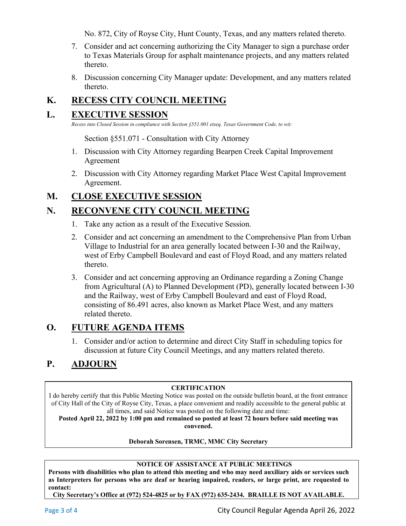No. 872, City of Royse City, Hunt County, Texas, and any matters related thereto.

- 7. Consider and act concerning authorizing the City Manager to sign a purchase order to Texas Materials Group for asphalt maintenance projects, and any matters related thereto.
- 8. Discussion concerning City Manager update: Development, and any matters related thereto.

# **K. RECESS CITY COUNCIL MEETING**

## **L. EXECUTIVE SESSION**

*Recess into Closed Session in compliance with Section §551.001 etseq. Texas Government Code, to wit:*

Section §551.071 - Consultation with City Attorney

- 1. Discussion with City Attorney regarding Bearpen Creek Capital Improvement Agreement
- 2. Discussion with City Attorney regarding Market Place West Capital Improvement Agreement.

## **M. CLOSE EXECUTIVE SESSION**

## **N. RECONVENE CITY COUNCIL MEETING**

- 1. Take any action as a result of the Executive Session.
- 2. Consider and act concerning an amendment to the Comprehensive Plan from Urban Village to Industrial for an area generally located between I-30 and the Railway, west of Erby Campbell Boulevard and east of Floyd Road, and any matters related thereto.
- 3. Consider and act concerning approving an Ordinance regarding a Zoning Change from Agricultural (A) to Planned Development (PD), generally located between I-30 and the Railway, west of Erby Campbell Boulevard and east of Floyd Road, consisting of 86.491 acres, also known as Market Place West, and any matters related thereto.

## **O. FUTURE AGENDA ITEMS**

1. Consider and/or action to determine and direct City Staff in scheduling topics for discussion at future City Council Meetings, and any matters related thereto.

# **P. ADJOURN**

#### **CERTIFICATION**

I do hereby certify that this Public Meeting Notice was posted on the outside bulletin board, at the front entrance of City Hall of the City of Royse City, Texas, a place convenient and readily accessible to the general public at all times, and said Notice was posted on the following date and time:

**Posted April 22, 2022 by 1:00 pm and remained so posted at least 72 hours before said meeting was convened.**

#### **Deborah Sorensen, TRMC, MMC City Secretary**

#### **NOTICE OF ASSISTANCE AT PUBLIC MEETINGS**

**Persons with disabilities who plan to attend this meeting and who may need auxiliary aids or services such as Interpreters for persons who are deaf or hearing impaired, readers, or large print, are requested to contact:** 

**City Secretary's Office at (972) 524-4825 or by FAX (972) 635-2434. BRAILLE IS NOT AVAILABLE.**

Page 3 of 4 City Council Regular Agenda April 26, 2022